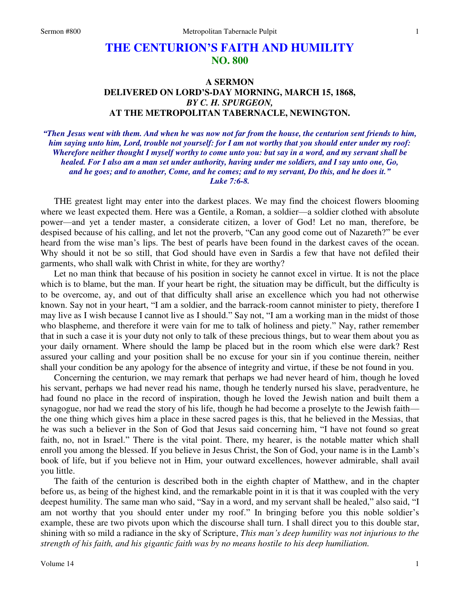# **THE CENTURION'S FAITH AND HUMILITY NO. 800**

## **A SERMON DELIVERED ON LORD'S-DAY MORNING, MARCH 15, 1868,**  *BY C. H. SPURGEON,*  **AT THE METROPOLITAN TABERNACLE, NEWINGTON.**

*"Then Jesus went with them. And when he was now not far from the house, the centurion sent friends to him, him saying unto him, Lord, trouble not yourself: for I am not worthy that you should enter under my roof: Wherefore neither thought I myself worthy to come unto you: but say in a word, and my servant shall be healed. For I also am a man set under authority, having under me soldiers, and I say unto one, Go, and he goes; and to another, Come, and he comes; and to my servant, Do this, and he does it." Luke 7:6-8.* 

THE greatest light may enter into the darkest places. We may find the choicest flowers blooming where we least expected them. Here was a Gentile, a Roman, a soldier—a soldier clothed with absolute power—and yet a tender master, a considerate citizen, a lover of God! Let no man, therefore, be despised because of his calling, and let not the proverb, "Can any good come out of Nazareth?" be ever heard from the wise man's lips. The best of pearls have been found in the darkest caves of the ocean. Why should it not be so still, that God should have even in Sardis a few that have not defiled their garments, who shall walk with Christ in white, for they are worthy?

Let no man think that because of his position in society he cannot excel in virtue. It is not the place which is to blame, but the man. If your heart be right, the situation may be difficult, but the difficulty is to be overcome, ay, and out of that difficulty shall arise an excellence which you had not otherwise known. Say not in your heart, "I am a soldier, and the barrack-room cannot minister to piety, therefore I may live as I wish because I cannot live as I should." Say not, "I am a working man in the midst of those who blaspheme, and therefore it were vain for me to talk of holiness and piety." Nay, rather remember that in such a case it is your duty not only to talk of these precious things, but to wear them about you as your daily ornament. Where should the lamp be placed but in the room which else were dark? Rest assured your calling and your position shall be no excuse for your sin if you continue therein, neither shall your condition be any apology for the absence of integrity and virtue, if these be not found in you.

Concerning the centurion, we may remark that perhaps we had never heard of him, though he loved his servant, perhaps we had never read his name, though he tenderly nursed his slave, peradventure, he had found no place in the record of inspiration, though he loved the Jewish nation and built them a synagogue, nor had we read the story of his life, though he had become a proselyte to the Jewish faith the one thing which gives him a place in these sacred pages is this, that he believed in the Messias, that he was such a believer in the Son of God that Jesus said concerning him, "I have not found so great faith, no, not in Israel." There is the vital point. There, my hearer, is the notable matter which shall enroll you among the blessed. If you believe in Jesus Christ, the Son of God, your name is in the Lamb's book of life, but if you believe not in Him, your outward excellences, however admirable, shall avail you little.

The faith of the centurion is described both in the eighth chapter of Matthew, and in the chapter before us, as being of the highest kind, and the remarkable point in it is that it was coupled with the very deepest humility. The same man who said, "Say in a word, and my servant shall be healed," also said, "I am not worthy that you should enter under my roof." In bringing before you this noble soldier's example, these are two pivots upon which the discourse shall turn. I shall direct you to this double star, shining with so mild a radiance in the sky of Scripture, *This man's deep humility was not injurious to the strength of his faith, and his gigantic faith was by no means hostile to his deep humiliation.*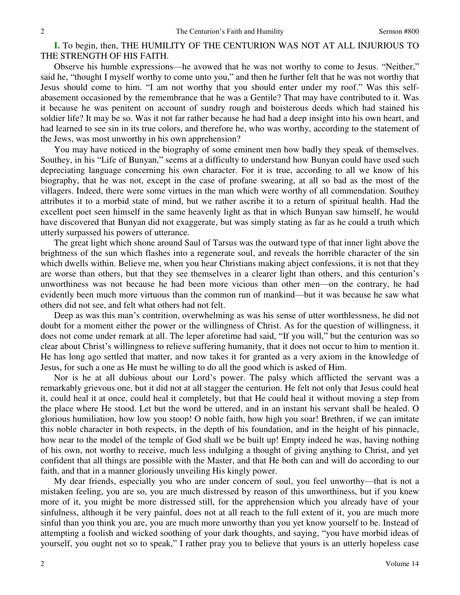**I.** To begin, then, THE HUMILITY OF THE CENTURION WAS NOT AT ALL INJURIOUS TO THE STRENGTH OF HIS FAITH.

Observe his humble expressions—he avowed that he was not worthy to come to Jesus. "Neither," said he, "thought I myself worthy to come unto you," and then he further felt that he was not worthy that Jesus should come to him. "I am not worthy that you should enter under my roof." Was this selfabasement occasioned by the remembrance that he was a Gentile? That may have contributed to it. Was it because he was penitent on account of sundry rough and boisterous deeds which had stained his soldier life? It may be so. Was it not far rather because he had had a deep insight into his own heart, and had learned to see sin in its true colors, and therefore he, who was worthy, according to the statement of the Jews, was most unworthy in his own apprehension?

You may have noticed in the biography of some eminent men how badly they speak of themselves. Southey, in his "Life of Bunyan," seems at a difficulty to understand how Bunyan could have used such depreciating language concerning his own character. For it is true, according to all we know of his biography, that he was not, except in the case of profane swearing, at all so bad as the most of the villagers. Indeed, there were some virtues in the man which were worthy of all commendation. Southey attributes it to a morbid state of mind, but we rather ascribe it to a return of spiritual health. Had the excellent poet seen himself in the same heavenly light as that in which Bunyan saw himself, he would have discovered that Bunyan did not exaggerate, but was simply stating as far as he could a truth which utterly surpassed his powers of utterance.

The great light which shone around Saul of Tarsus was the outward type of that inner light above the brightness of the sun which flashes into a regenerate soul, and reveals the horrible character of the sin which dwells within. Believe me, when you hear Christians making abject confessions, it is not that they are worse than others, but that they see themselves in a clearer light than others, and this centurion's unworthiness was not because he had been more vicious than other men—on the contrary, he had evidently been much more virtuous than the common run of mankind—but it was because he saw what others did not see, and felt what others had not felt.

Deep as was this man's contrition, overwhelming as was his sense of utter worthlessness, he did not doubt for a moment either the power or the willingness of Christ. As for the question of willingness, it does not come under remark at all. The leper aforetime had said, "If you will," but the centurion was so clear about Christ's willingness to relieve suffering humanity, that it does not occur to him to mention it. He has long ago settled that matter, and now takes it for granted as a very axiom in the knowledge of Jesus, for such a one as He must be willing to do all the good which is asked of Him.

Nor is he at all dubious about our Lord's power. The palsy which afflicted the servant was a remarkably grievous one, but it did not at all stagger the centurion. He felt not only that Jesus could heal it, could heal it at once, could heal it completely, but that He could heal it without moving a step from the place where He stood. Let but the word be uttered, and in an instant his servant shall be healed. O glorious humiliation, how low you stoop! O noble faith, how high you soar! Brethren, if we can imitate this noble character in both respects, in the depth of his foundation, and in the height of his pinnacle, how near to the model of the temple of God shall we be built up! Empty indeed he was, having nothing of his own, not worthy to receive, much less indulging a thought of giving anything to Christ, and yet confident that all things are possible with the Master, and that He both can and will do according to our faith, and that in a manner gloriously unveiling His kingly power.

My dear friends, especially you who are under concern of soul, you feel unworthy—that is not a mistaken feeling, you are so, you are much distressed by reason of this unworthiness, but if you knew more of it, you might be more distressed still, for the apprehension which you already have of your sinfulness, although it be very painful, does not at all reach to the full extent of it, you are much more sinful than you think you are, you are much more unworthy than you yet know yourself to be. Instead of attempting a foolish and wicked soothing of your dark thoughts, and saying, "you have morbid ideas of yourself, you ought not so to speak," I rather pray you to believe that yours is an utterly hopeless case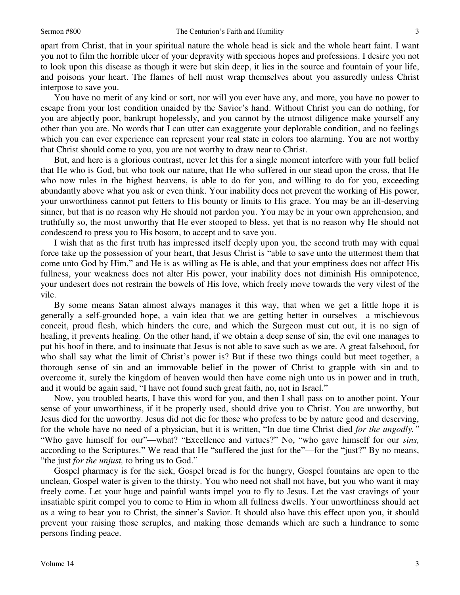apart from Christ, that in your spiritual nature the whole head is sick and the whole heart faint. I want you not to film the horrible ulcer of your depravity with specious hopes and professions. I desire you not to look upon this disease as though it were but skin deep, it lies in the source and fountain of your life, and poisons your heart. The flames of hell must wrap themselves about you assuredly unless Christ interpose to save you.

You have no merit of any kind or sort, nor will you ever have any, and more, you have no power to escape from your lost condition unaided by the Savior's hand. Without Christ you can do nothing, for you are abjectly poor, bankrupt hopelessly, and you cannot by the utmost diligence make yourself any other than you are. No words that I can utter can exaggerate your deplorable condition, and no feelings which you can ever experience can represent your real state in colors too alarming. You are not worthy that Christ should come to you, you are not worthy to draw near to Christ.

But, and here is a glorious contrast, never let this for a single moment interfere with your full belief that He who is God, but who took our nature, that He who suffered in our stead upon the cross, that He who now rules in the highest heavens, is able to do for you, and willing to do for you, exceeding abundantly above what you ask or even think. Your inability does not prevent the working of His power, your unworthiness cannot put fetters to His bounty or limits to His grace. You may be an ill-deserving sinner, but that is no reason why He should not pardon you. You may be in your own apprehension, and truthfully so, the most unworthy that He ever stooped to bless, yet that is no reason why He should not condescend to press you to His bosom, to accept and to save you.

I wish that as the first truth has impressed itself deeply upon you, the second truth may with equal force take up the possession of your heart, that Jesus Christ is "able to save unto the uttermost them that come unto God by Him," and He is as willing as He is able, and that your emptiness does not affect His fullness, your weakness does not alter His power, your inability does not diminish His omnipotence, your undesert does not restrain the bowels of His love, which freely move towards the very vilest of the vile.

By some means Satan almost always manages it this way, that when we get a little hope it is generally a self-grounded hope, a vain idea that we are getting better in ourselves—a mischievous conceit, proud flesh, which hinders the cure, and which the Surgeon must cut out, it is no sign of healing, it prevents healing. On the other hand, if we obtain a deep sense of sin, the evil one manages to put his hoof in there, and to insinuate that Jesus is not able to save such as we are. A great falsehood, for who shall say what the limit of Christ's power is? But if these two things could but meet together, a thorough sense of sin and an immovable belief in the power of Christ to grapple with sin and to overcome it, surely the kingdom of heaven would then have come nigh unto us in power and in truth, and it would be again said, "I have not found such great faith, no, not in Israel."

Now, you troubled hearts, I have this word for you, and then I shall pass on to another point. Your sense of your unworthiness, if it be properly used, should drive you to Christ. You are unworthy, but Jesus died for the unworthy. Jesus did not die for those who profess to be by nature good and deserving, for the whole have no need of a physician, but it is written, "In due time Christ died *for the ungodly."* "Who gave himself for our"—what? "Excellence and virtues?" No, "who gave himself for our *sins,* according to the Scriptures." We read that He "suffered the just for the"—for the "just?" By no means, "the just *for the unjust,* to bring us to God."

Gospel pharmacy is for the sick, Gospel bread is for the hungry, Gospel fountains are open to the unclean, Gospel water is given to the thirsty. You who need not shall not have, but you who want it may freely come. Let your huge and painful wants impel you to fly to Jesus. Let the vast cravings of your insatiable spirit compel you to come to Him in whom all fullness dwells. Your unworthiness should act as a wing to bear you to Christ, the sinner's Savior. It should also have this effect upon you, it should prevent your raising those scruples, and making those demands which are such a hindrance to some persons finding peace.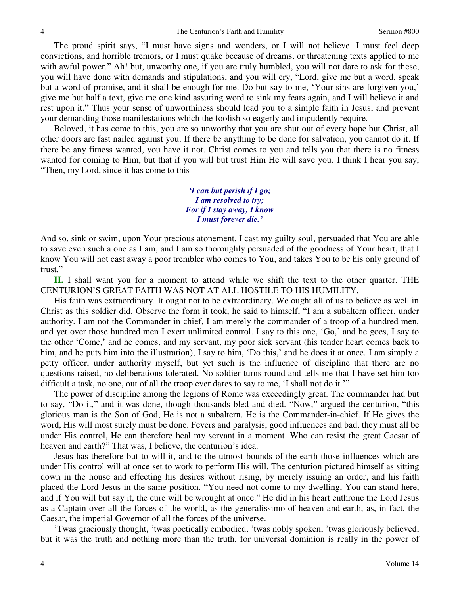The proud spirit says, "I must have signs and wonders, or I will not believe. I must feel deep convictions, and horrible tremors, or I must quake because of dreams, or threatening texts applied to me with awful power." Ah! but, unworthy one, if you are truly humbled, you will not dare to ask for these, you will have done with demands and stipulations, and you will cry, "Lord, give me but a word, speak but a word of promise, and it shall be enough for me. Do but say to me, 'Your sins are forgiven you,' give me but half a text, give me one kind assuring word to sink my fears again, and I will believe it and rest upon it." Thus your sense of unworthiness should lead you to a simple faith in Jesus, and prevent your demanding those manifestations which the foolish so eagerly and impudently require.

Beloved, it has come to this, you are so unworthy that you are shut out of every hope but Christ, all other doors are fast nailed against you. If there be anything to be done for salvation, you cannot do it. If there be any fitness wanted, you have it not. Christ comes to you and tells you that there is no fitness wanted for coming to Him, but that if you will but trust Him He will save you. I think I hear you say, "Then, my Lord, since it has come to this*—*

> *'I can but perish if I go; I am resolved to try; For if I stay away, I know I must forever die.'*

And so, sink or swim, upon Your precious atonement, I cast my guilty soul, persuaded that You are able to save even such a one as I am, and I am so thoroughly persuaded of the goodness of Your heart, that I know You will not cast away a poor trembler who comes to You, and takes You to be his only ground of trust."

**II.** I shall want you for a moment to attend while we shift the text to the other quarter. THE CENTURION'S GREAT FAITH WAS NOT AT ALL HOSTILE TO HIS HUMILITY.

His faith was extraordinary. It ought not to be extraordinary. We ought all of us to believe as well in Christ as this soldier did. Observe the form it took, he said to himself, "I am a subaltern officer, under authority. I am not the Commander-in-chief, I am merely the commander of a troop of a hundred men, and yet over those hundred men I exert unlimited control. I say to this one, 'Go,' and he goes, I say to the other 'Come,' and he comes, and my servant, my poor sick servant (his tender heart comes back to him, and he puts him into the illustration), I say to him, 'Do this,' and he does it at once. I am simply a petty officer, under authority myself, but yet such is the influence of discipline that there are no questions raised, no deliberations tolerated. No soldier turns round and tells me that I have set him too difficult a task, no one, out of all the troop ever dares to say to me, 'I shall not do it.'"

The power of discipline among the legions of Rome was exceedingly great. The commander had but to say, "Do it," and it was done, though thousands bled and died. "Now," argued the centurion, "this glorious man is the Son of God, He is not a subaltern, He is the Commander-in-chief. If He gives the word, His will most surely must be done. Fevers and paralysis, good influences and bad, they must all be under His control, He can therefore heal my servant in a moment. Who can resist the great Caesar of heaven and earth?" That was, I believe, the centurion's idea.

Jesus has therefore but to will it, and to the utmost bounds of the earth those influences which are under His control will at once set to work to perform His will. The centurion pictured himself as sitting down in the house and effecting his desires without rising, by merely issuing an order, and his faith placed the Lord Jesus in the same position. "You need not come to my dwelling, You can stand here, and if You will but say it, the cure will be wrought at once." He did in his heart enthrone the Lord Jesus as a Captain over all the forces of the world, as the generalissimo of heaven and earth, as, in fact, the Caesar, the imperial Governor of all the forces of the universe.

'Twas graciously thought, 'twas poetically embodied, 'twas nobly spoken, 'twas gloriously believed, but it was the truth and nothing more than the truth, for universal dominion is really in the power of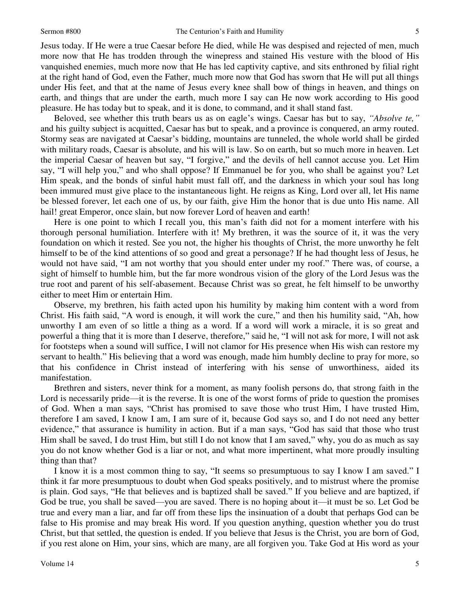Jesus today. If He were a true Caesar before He died, while He was despised and rejected of men, much more now that He has trodden through the winepress and stained His vesture with the blood of His vanquished enemies, much more now that He has led captivity captive, and sits enthroned by filial right at the right hand of God, even the Father, much more now that God has sworn that He will put all things under His feet, and that at the name of Jesus every knee shall bow of things in heaven, and things on earth, and things that are under the earth, much more I say can He now work according to His good pleasure. He has today but to speak, and it is done, to command, and it shall stand fast.

Beloved, see whether this truth bears us as on eagle's wings. Caesar has but to say, *"Absolve te,"* and his guilty subject is acquitted, Caesar has but to speak, and a province is conquered, an army routed. Stormy seas are navigated at Caesar's bidding, mountains are tunneled, the whole world shall be girded with military roads, Caesar is absolute, and his will is law. So on earth, but so much more in heaven. Let the imperial Caesar of heaven but say, "I forgive," and the devils of hell cannot accuse you. Let Him say, "I will help you," and who shall oppose? If Emmanuel be for you, who shall be against you? Let Him speak, and the bonds of sinful habit must fall off, and the darkness in which your soul has long been immured must give place to the instantaneous light. He reigns as King, Lord over all, let His name be blessed forever, let each one of us, by our faith, give Him the honor that is due unto His name. All hail! great Emperor, once slain, but now forever Lord of heaven and earth!

Here is one point to which I recall you, this man's faith did not for a moment interfere with his thorough personal humiliation. Interfere with it! My brethren, it was the source of it, it was the very foundation on which it rested. See you not, the higher his thoughts of Christ, the more unworthy he felt himself to be of the kind attentions of so good and great a personage? If he had thought less of Jesus, he would not have said, "I am not worthy that you should enter under my roof." There was, of course, a sight of himself to humble him, but the far more wondrous vision of the glory of the Lord Jesus was the true root and parent of his self-abasement. Because Christ was so great, he felt himself to be unworthy either to meet Him or entertain Him.

Observe, my brethren, his faith acted upon his humility by making him content with a word from Christ. His faith said, "A word is enough, it will work the cure," and then his humility said, "Ah, how unworthy I am even of so little a thing as a word. If a word will work a miracle, it is so great and powerful a thing that it is more than I deserve, therefore," said he, "I will not ask for more, I will not ask for footsteps when a sound will suffice, I will not clamor for His presence when His wish can restore my servant to health." His believing that a word was enough, made him humbly decline to pray for more, so that his confidence in Christ instead of interfering with his sense of unworthiness, aided its manifestation.

Brethren and sisters, never think for a moment, as many foolish persons do, that strong faith in the Lord is necessarily pride—it is the reverse. It is one of the worst forms of pride to question the promises of God. When a man says, "Christ has promised to save those who trust Him, I have trusted Him, therefore I am saved, I know I am, I am sure of it, because God says so, and I do not need any better evidence," that assurance is humility in action. But if a man says, "God has said that those who trust Him shall be saved, I do trust Him, but still I do not know that I am saved," why, you do as much as say you do not know whether God is a liar or not, and what more impertinent, what more proudly insulting thing than that?

I know it is a most common thing to say, "It seems so presumptuous to say I know I am saved." I think it far more presumptuous to doubt when God speaks positively, and to mistrust where the promise is plain. God says, "He that believes and is baptized shall be saved." If you believe and are baptized, if God be true, you shall be saved—you are saved. There is no hoping about it—it must be so. Let God be true and every man a liar, and far off from these lips the insinuation of a doubt that perhaps God can be false to His promise and may break His word. If you question anything, question whether you do trust Christ, but that settled, the question is ended. If you believe that Jesus is the Christ, you are born of God, if you rest alone on Him, your sins, which are many, are all forgiven you. Take God at His word as your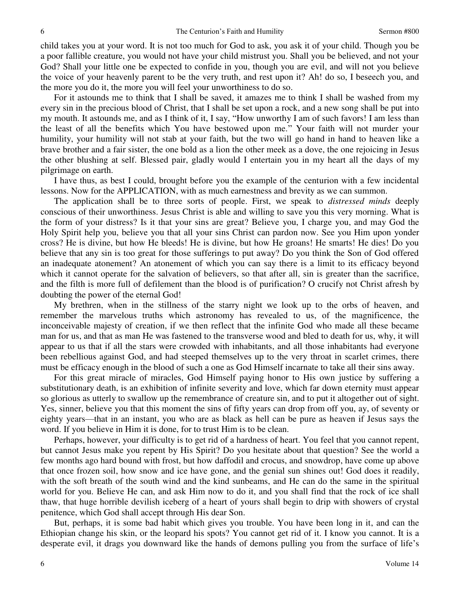child takes you at your word. It is not too much for God to ask, you ask it of your child. Though you be a poor fallible creature, you would not have your child mistrust you. Shall you be believed, and not your God? Shall your little one be expected to confide in you, though you are evil, and will not you believe the voice of your heavenly parent to be the very truth, and rest upon it? Ah! do so, I beseech you, and the more you do it, the more you will feel your unworthiness to do so.

For it astounds me to think that I shall be saved, it amazes me to think I shall be washed from my every sin in the precious blood of Christ, that I shall be set upon a rock, and a new song shall be put into my mouth. It astounds me, and as I think of it, I say, "How unworthy I am of such favors! I am less than the least of all the benefits which You have bestowed upon me." Your faith will not murder your humility, your humility will not stab at your faith, but the two will go hand in hand to heaven like a brave brother and a fair sister, the one bold as a lion the other meek as a dove, the one rejoicing in Jesus the other blushing at self. Blessed pair, gladly would I entertain you in my heart all the days of my pilgrimage on earth.

I have thus, as best I could, brought before you the example of the centurion with a few incidental lessons. Now for the APPLICATION, with as much earnestness and brevity as we can summon.

The application shall be to three sorts of people. First, we speak to *distressed minds* deeply conscious of their unworthiness. Jesus Christ is able and willing to save you this very morning. What is the form of your distress? Is it that your sins are great? Believe you, I charge you, and may God the Holy Spirit help you, believe you that all your sins Christ can pardon now. See you Him upon yonder cross? He is divine, but how He bleeds! He is divine, but how He groans! He smarts! He dies! Do you believe that any sin is too great for those sufferings to put away? Do you think the Son of God offered an inadequate atonement? An atonement of which you can say there is a limit to its efficacy beyond which it cannot operate for the salvation of believers, so that after all, sin is greater than the sacrifice, and the filth is more full of defilement than the blood is of purification? O crucify not Christ afresh by doubting the power of the eternal God!

My brethren, when in the stillness of the starry night we look up to the orbs of heaven, and remember the marvelous truths which astronomy has revealed to us, of the magnificence, the inconceivable majesty of creation, if we then reflect that the infinite God who made all these became man for us, and that as man He was fastened to the transverse wood and bled to death for us, why, it will appear to us that if all the stars were crowded with inhabitants, and all those inhabitants had everyone been rebellious against God, and had steeped themselves up to the very throat in scarlet crimes, there must be efficacy enough in the blood of such a one as God Himself incarnate to take all their sins away.

For this great miracle of miracles, God Himself paying honor to His own justice by suffering a substitutionary death, is an exhibition of infinite severity and love, which far down eternity must appear so glorious as utterly to swallow up the remembrance of creature sin, and to put it altogether out of sight. Yes, sinner, believe you that this moment the sins of fifty years can drop from off you, ay, of seventy or eighty years—that in an instant, you who are as black as hell can be pure as heaven if Jesus says the word. If you believe in Him it is done, for to trust Him is to be clean.

Perhaps, however, your difficulty is to get rid of a hardness of heart. You feel that you cannot repent, but cannot Jesus make you repent by His Spirit? Do you hesitate about that question? See the world a few months ago hard bound with frost, but how daffodil and crocus, and snowdrop, have come up above that once frozen soil, how snow and ice have gone, and the genial sun shines out! God does it readily, with the soft breath of the south wind and the kind sunbeams, and He can do the same in the spiritual world for you. Believe He can, and ask Him now to do it, and you shall find that the rock of ice shall thaw, that huge horrible devilish iceberg of a heart of yours shall begin to drip with showers of crystal penitence, which God shall accept through His dear Son.

But, perhaps, it is some bad habit which gives you trouble. You have been long in it, and can the Ethiopian change his skin, or the leopard his spots? You cannot get rid of it. I know you cannot. It is a desperate evil, it drags you downward like the hands of demons pulling you from the surface of life's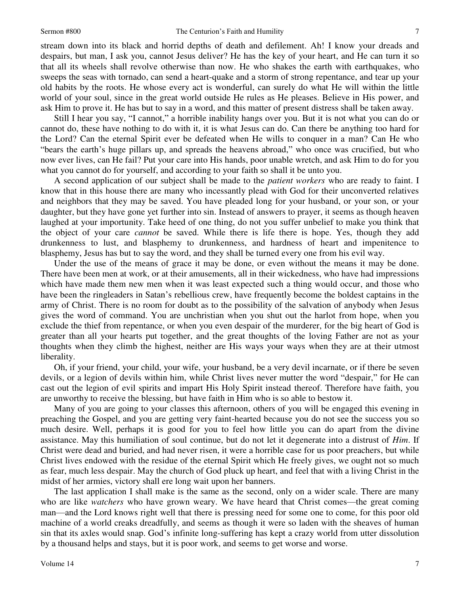stream down into its black and horrid depths of death and defilement. Ah! I know your dreads and despairs, but man, I ask you, cannot Jesus deliver? He has the key of your heart, and He can turn it so that all its wheels shall revolve otherwise than now. He who shakes the earth with earthquakes, who sweeps the seas with tornado, can send a heart-quake and a storm of strong repentance, and tear up your old habits by the roots. He whose every act is wonderful, can surely do what He will within the little world of your soul, since in the great world outside He rules as He pleases. Believe in His power, and ask Him to prove it. He has but to say in a word, and this matter of present distress shall be taken away.

Still I hear you say, "I cannot," a horrible inability hangs over you. But it is not what you can do or cannot do, these have nothing to do with it, it is what Jesus can do. Can there be anything too hard for the Lord? Can the eternal Spirit ever be defeated when He wills to conquer in a man? Can He who "bears the earth's huge pillars up, and spreads the heavens abroad," who once was crucified, but who now ever lives, can He fail? Put your care into His hands, poor unable wretch, and ask Him to do for you what you cannot do for yourself, and according to your faith so shall it be unto you.

A second application of our subject shall be made to the *patient workers* who are ready to faint. I know that in this house there are many who incessantly plead with God for their unconverted relatives and neighbors that they may be saved. You have pleaded long for your husband, or your son, or your daughter, but they have gone yet further into sin. Instead of answers to prayer, it seems as though heaven laughed at your importunity. Take heed of one thing, do not you suffer unbelief to make you think that the object of your care *cannot* be saved. While there is life there is hope. Yes, though they add drunkenness to lust, and blasphemy to drunkenness, and hardness of heart and impenitence to blasphemy, Jesus has but to say the word, and they shall be turned every one from his evil way.

Under the use of the means of grace it may be done, or even without the means it may be done. There have been men at work, or at their amusements, all in their wickedness, who have had impressions which have made them new men when it was least expected such a thing would occur, and those who have been the ringleaders in Satan's rebellious crew, have frequently become the boldest captains in the army of Christ. There is no room for doubt as to the possibility of the salvation of anybody when Jesus gives the word of command. You are unchristian when you shut out the harlot from hope, when you exclude the thief from repentance, or when you even despair of the murderer, for the big heart of God is greater than all your hearts put together, and the great thoughts of the loving Father are not as your thoughts when they climb the highest, neither are His ways your ways when they are at their utmost liberality.

Oh, if your friend, your child, your wife, your husband, be a very devil incarnate, or if there be seven devils, or a legion of devils within him, while Christ lives never mutter the word "despair," for He can cast out the legion of evil spirits and impart His Holy Spirit instead thereof. Therefore have faith, you are unworthy to receive the blessing, but have faith in Him who is so able to bestow it.

Many of you are going to your classes this afternoon, others of you will be engaged this evening in preaching the Gospel, and you are getting very faint-hearted because you do not see the success you so much desire. Well, perhaps it is good for you to feel how little you can do apart from the divine assistance. May this humiliation of soul continue, but do not let it degenerate into a distrust of *Him*. If Christ were dead and buried, and had never risen, it were a horrible case for us poor preachers, but while Christ lives endowed with the residue of the eternal Spirit which He freely gives, we ought not so much as fear, much less despair. May the church of God pluck up heart, and feel that with a living Christ in the midst of her armies, victory shall ere long wait upon her banners.

The last application I shall make is the same as the second, only on a wider scale. There are many who are like *watchers* who have grown weary. We have heard that Christ comes—the great coming man—and the Lord knows right well that there is pressing need for some one to come, for this poor old machine of a world creaks dreadfully, and seems as though it were so laden with the sheaves of human sin that its axles would snap. God's infinite long-suffering has kept a crazy world from utter dissolution by a thousand helps and stays, but it is poor work, and seems to get worse and worse.